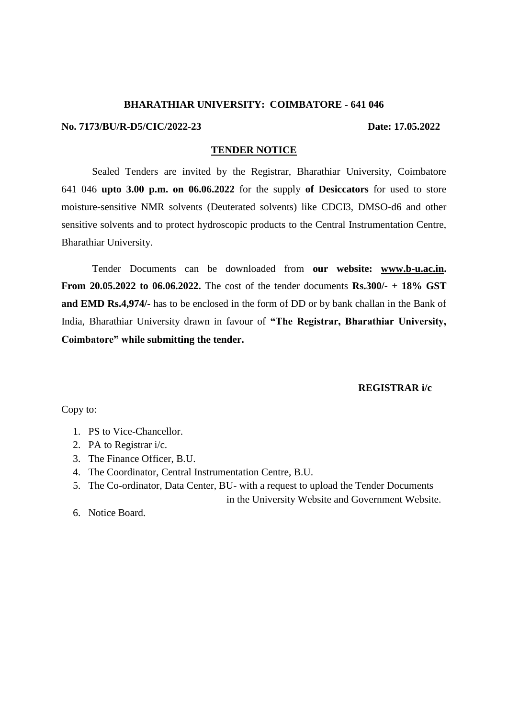#### **BHARATHIAR UNIVERSITY: COIMBATORE - 641 046**

#### **No. 7173/BU/R-D5/CIC/2022-23 Date: 17.05.2022**

#### **TENDER NOTICE**

Sealed Tenders are invited by the Registrar, Bharathiar University, Coimbatore 641 046 **upto 3.00 p.m. on 06.06.2022** for the supply **of Desiccators** for used to store moisture-sensitive NMR solvents (Deuterated solvents) like CDCI3, DMSO-d6 and other sensitive solvents and to protect hydroscopic products to the Central Instrumentation Centre, Bharathiar University.

Tender Documents can be downloaded from **our website: [www.b-u.ac.in.](http://www.b-u.ac.in/) From 20.05.2022 to 06.06.2022.** The cost of the tender documents **Rs.300/- + 18% GST and EMD Rs.4,974/-** has to be enclosed in the form of DD or by bank challan in the Bank of India, Bharathiar University drawn in favour of **"The Registrar, Bharathiar University, Coimbatore" while submitting the tender.**

## **REGISTRAR i/c**

Copy to:

- 1. PS to Vice-Chancellor.
- 2. PA to Registrar i/c.
- 3. The Finance Officer, B.U.
- 4. The Coordinator, Central Instrumentation Centre, B.U.
- 5. The Co-ordinator, Data Center, BU- with a request to upload the Tender Documents in the University Website and Government Website.

6. Notice Board.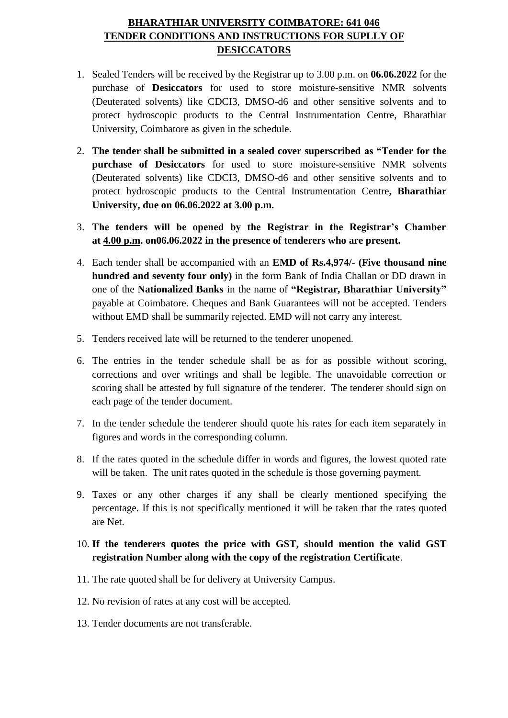# **BHARATHIAR UNIVERSITY COIMBATORE: 641 046 TENDER CONDITIONS AND INSTRUCTIONS FOR SUPLLY OF DESICCATORS**

- 1. Sealed Tenders will be received by the Registrar up to 3.00 p.m. on **06.06.2022** for the purchase of **Desiccators** for used to store moisture-sensitive NMR solvents (Deuterated solvents) like CDCI3, DMSO-d6 and other sensitive solvents and to protect hydroscopic products to the Central Instrumentation Centre, Bharathiar University, Coimbatore as given in the schedule.
- 2. **The tender shall be submitted in a sealed cover superscribed as "Tender for the purchase of Desiccators** for used to store moisture-sensitive NMR solvents (Deuterated solvents) like CDCI3, DMSO-d6 and other sensitive solvents and to protect hydroscopic products to the Central Instrumentation Centre**, Bharathiar University, due on 06.06.2022 at 3.00 p.m.**
- 3. **The tenders will be opened by the Registrar in the Registrar's Chamber at 4.00 p.m. on06.06.2022 in the presence of tenderers who are present.**
- 4. Each tender shall be accompanied with an **EMD of Rs.4,974/- (Five thousand nine hundred and seventy four only)** in the form Bank of India Challan or DD drawn in one of the **Nationalized Banks** in the name of **"Registrar, Bharathiar University"** payable at Coimbatore. Cheques and Bank Guarantees will not be accepted. Tenders without EMD shall be summarily rejected. EMD will not carry any interest.
- 5. Tenders received late will be returned to the tenderer unopened.
- 6. The entries in the tender schedule shall be as for as possible without scoring, corrections and over writings and shall be legible. The unavoidable correction or scoring shall be attested by full signature of the tenderer. The tenderer should sign on each page of the tender document.
- 7. In the tender schedule the tenderer should quote his rates for each item separately in figures and words in the corresponding column.
- 8. If the rates quoted in the schedule differ in words and figures, the lowest quoted rate will be taken. The unit rates quoted in the schedule is those governing payment.
- 9. Taxes or any other charges if any shall be clearly mentioned specifying the percentage. If this is not specifically mentioned it will be taken that the rates quoted are Net.

# 10. **If the tenderers quotes the price with GST, should mention the valid GST registration Number along with the copy of the registration Certificate**.

- 11. The rate quoted shall be for delivery at University Campus.
- 12. No revision of rates at any cost will be accepted.
- 13. Tender documents are not transferable.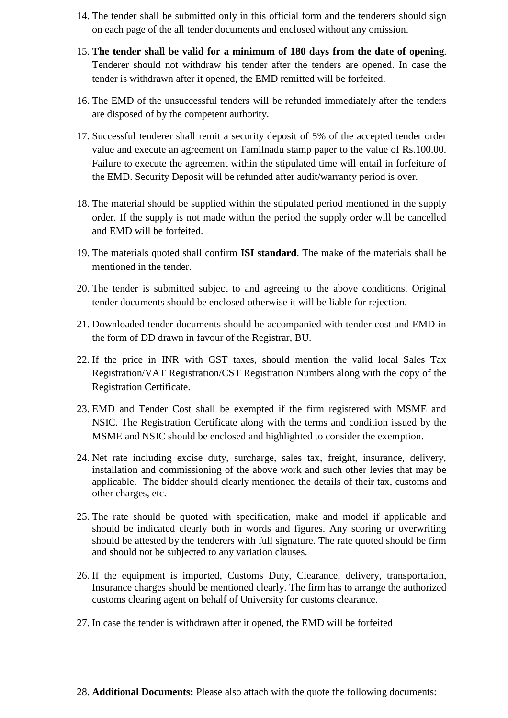- 14. The tender shall be submitted only in this official form and the tenderers should sign on each page of the all tender documents and enclosed without any omission.
- 15. **The tender shall be valid for a minimum of 180 days from the date of opening**. Tenderer should not withdraw his tender after the tenders are opened. In case the tender is withdrawn after it opened, the EMD remitted will be forfeited.
- 16. The EMD of the unsuccessful tenders will be refunded immediately after the tenders are disposed of by the competent authority.
- 17. Successful tenderer shall remit a security deposit of 5% of the accepted tender order value and execute an agreement on Tamilnadu stamp paper to the value of Rs.100.00. Failure to execute the agreement within the stipulated time will entail in forfeiture of the EMD. Security Deposit will be refunded after audit/warranty period is over.
- 18. The material should be supplied within the stipulated period mentioned in the supply order. If the supply is not made within the period the supply order will be cancelled and EMD will be forfeited.
- 19. The materials quoted shall confirm **ISI standard**. The make of the materials shall be mentioned in the tender.
- 20. The tender is submitted subject to and agreeing to the above conditions. Original tender documents should be enclosed otherwise it will be liable for rejection.
- 21. Downloaded tender documents should be accompanied with tender cost and EMD in the form of DD drawn in favour of the Registrar, BU.
- 22. If the price in INR with GST taxes, should mention the valid local Sales Tax Registration/VAT Registration/CST Registration Numbers along with the copy of the Registration Certificate.
- 23. EMD and Tender Cost shall be exempted if the firm registered with MSME and NSIC. The Registration Certificate along with the terms and condition issued by the MSME and NSIC should be enclosed and highlighted to consider the exemption.
- 24. Net rate including excise duty, surcharge, sales tax, freight, insurance, delivery, installation and commissioning of the above work and such other levies that may be applicable. The bidder should clearly mentioned the details of their tax, customs and other charges, etc.
- 25. The rate should be quoted with specification, make and model if applicable and should be indicated clearly both in words and figures. Any scoring or overwriting should be attested by the tenderers with full signature. The rate quoted should be firm and should not be subjected to any variation clauses.
- 26. If the equipment is imported, Customs Duty, Clearance, delivery, transportation, Insurance charges should be mentioned clearly. The firm has to arrange the authorized customs clearing agent on behalf of University for customs clearance.
- 27. In case the tender is withdrawn after it opened, the EMD will be forfeited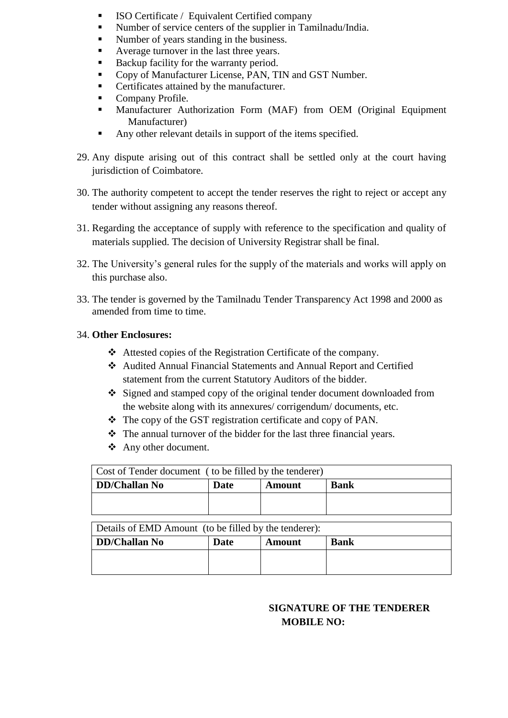- ISO Certificate / Equivalent Certified company
- Number of service centers of the supplier in Tamilnadu/India.
- Number of years standing in the business.
- Average turnover in the last three years.
- Backup facility for the warranty period.
- Copy of Manufacturer License, PAN, TIN and GST Number.
- Certificates attained by the manufacturer.
- Company Profile.
- Manufacturer Authorization Form (MAF) from OEM (Original Equipment Manufacturer)
- Any other relevant details in support of the items specified.
- 29. Any dispute arising out of this contract shall be settled only at the court having jurisdiction of Coimbatore.
- 30. The authority competent to accept the tender reserves the right to reject or accept any tender without assigning any reasons thereof.
- 31. Regarding the acceptance of supply with reference to the specification and quality of materials supplied. The decision of University Registrar shall be final.
- 32. The University's general rules for the supply of the materials and works will apply on this purchase also.
- 33. The tender is governed by the Tamilnadu Tender Transparency Act 1998 and 2000 as amended from time to time.

## 34. **Other Enclosures:**

- Attested copies of the Registration Certificate of the company.
- Audited Annual Financial Statements and Annual Report and Certified statement from the current Statutory Auditors of the bidder.
- Signed and stamped copy of the original tender document downloaded from the website along with its annexures/ corrigendum/ documents, etc.
- $\div$  The copy of the GST registration certificate and copy of PAN.
- $\triangle$  The annual turnover of the bidder for the last three financial years.
- Any other document.

| Cost of Tender document (to be filled by the tenderer) |      |               |             |  |  |  |
|--------------------------------------------------------|------|---------------|-------------|--|--|--|
| DD/Challan No                                          | Date | <b>Amount</b> | <b>Bank</b> |  |  |  |
|                                                        |      |               |             |  |  |  |
|                                                        |      |               |             |  |  |  |

| Details of EMD Amount (to be filled by the tenderer): |      |        |      |  |  |  |
|-------------------------------------------------------|------|--------|------|--|--|--|
| DD/Challan No                                         | Date | Amount | Bank |  |  |  |
|                                                       |      |        |      |  |  |  |
|                                                       |      |        |      |  |  |  |

# **SIGNATURE OF THE TENDERER MOBILE NO:**